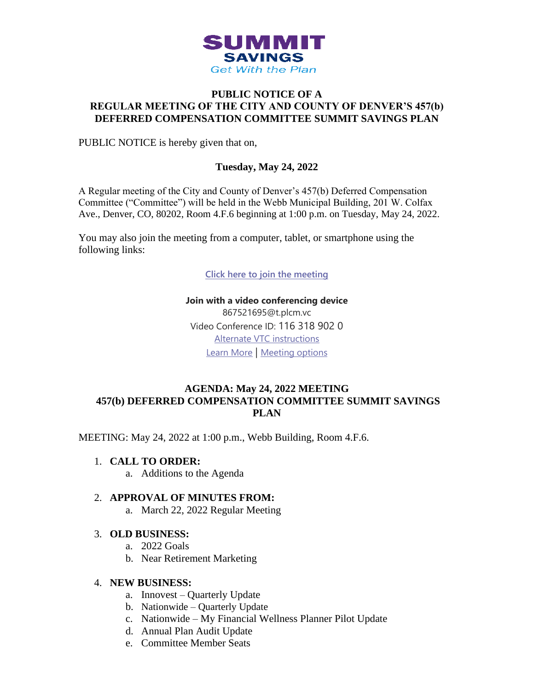

## **PUBLIC NOTICE OF A REGULAR MEETING OF THE CITY AND COUNTY OF DENVER'S 457(b) DEFERRED COMPENSATION COMMITTEE SUMMIT SAVINGS PLAN**

PUBLIC NOTICE is hereby given that on,

# **Tuesday, May 24, 2022**

A Regular meeting of the City and County of Denver's 457(b) Deferred Compensation Committee ("Committee") will be held in the Webb Municipal Building, 201 W. Colfax Ave., Denver, CO, 80202, Room 4.F.6 beginning at 1:00 p.m. on Tuesday, May 24, 2022.

You may also join the meeting from a computer, tablet, or smartphone using the following links:

**[Click here to join the meeting](https://teams.microsoft.com/l/meetup-join/19%3ameeting_MmEwNDJiODAtNzFkNC00NzdmLWFkYzktMDcwNjlhNzQ1Zjcz%40thread.v2/0?context=%7b%22Tid%22%3a%2239c87ab3-6612-42c0-9620-a696d12df803%22%2c%22Oid%22%3a%22c9ff68bc-d0c2-4d2e-bd70-8581035e9a16%22%7d)**

**Join with a video conferencing device** 867521695@t.plcm.vc Video Conference ID: 116 318 902 0 [Alternate VTC instructions](https://dialin.plcm.vc/teams/?key=867521695&conf=1163189020) [Learn More](https://aka.ms/JoinTeamsMeeting) | [Meeting options](https://teams.microsoft.com/meetingOptions/?organizerId=c9ff68bc-d0c2-4d2e-bd70-8581035e9a16&tenantId=39c87ab3-6612-42c0-9620-a696d12df803&threadId=19_meeting_MmEwNDJiODAtNzFkNC00NzdmLWFkYzktMDcwNjlhNzQ1Zjcz@thread.v2&messageId=0&language=en-US)

### **AGENDA: May 24, 2022 MEETING 457(b) DEFERRED COMPENSATION COMMITTEE SUMMIT SAVINGS PLAN**

MEETING: May 24, 2022 at 1:00 p.m., Webb Building, Room 4.F.6.

- 1. **CALL TO ORDER:**
	- a. Additions to the Agenda

#### 2. **APPROVAL OF MINUTES FROM:**

a. March 22, 2022 Regular Meeting

#### 3. **OLD BUSINESS:**

- a. 2022 Goals
- b. Near Retirement Marketing

#### 4. **NEW BUSINESS:**

- a. Innovest Quarterly Update
- b. Nationwide Quarterly Update
- c. Nationwide My Financial Wellness Planner Pilot Update
- d. Annual Plan Audit Update
- e. Committee Member Seats